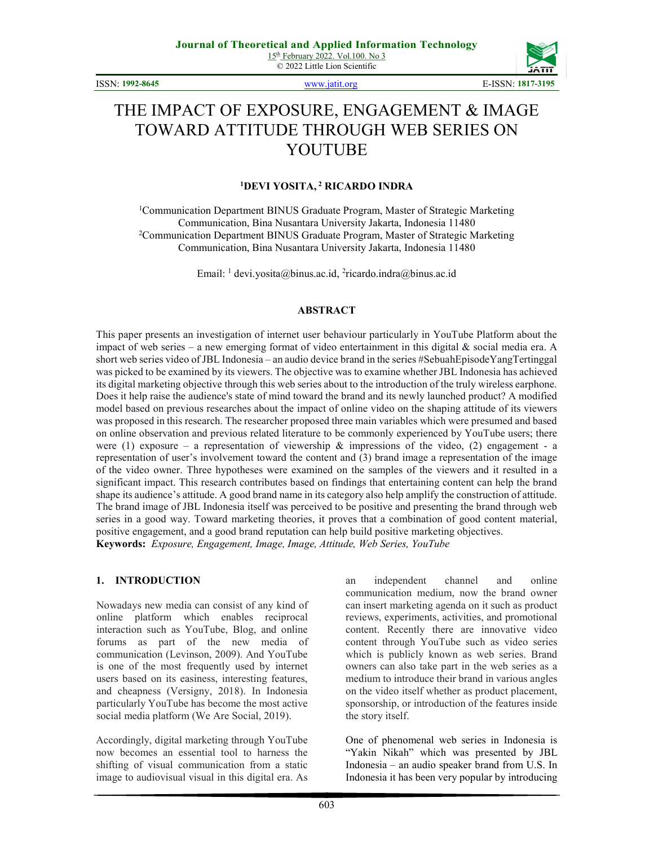ISSN: 1992-8645 www.jatit.org E-ISSN: 1817-3195



# THE IMPACT OF EXPOSURE, ENGAGEMENT & IMAGE TOWARD ATTITUDE THROUGH WEB SERIES ON YOUTUBE

## <sup>1</sup>DEVI YOSITA,<sup>2</sup> RICARDO INDRA

<sup>1</sup>Communication Department BINUS Graduate Program, Master of Strategic Marketing Communication, Bina Nusantara University Jakarta, Indonesia 11480 <sup>2</sup>Communication Department BINUS Graduate Program, Master of Strategic Marketing Communication, Bina Nusantara University Jakarta, Indonesia 11480

Email:  $\frac{1}{1}$  devi.yosita@binus.ac.id,  $\frac{2}{1}$ ricardo.indra@binus.ac.id

#### ABSTRACT

This paper presents an investigation of internet user behaviour particularly in YouTube Platform about the impact of web series – a new emerging format of video entertainment in this digital  $\&$  social media era. A short web series video of JBL Indonesia – an audio device brand in the series #SebuahEpisodeYangTertinggal was picked to be examined by its viewers. The objective was to examine whether JBL Indonesia has achieved its digital marketing objective through this web series about to the introduction of the truly wireless earphone. Does it help raise the audience's state of mind toward the brand and its newly launched product? A modified model based on previous researches about the impact of online video on the shaping attitude of its viewers was proposed in this research. The researcher proposed three main variables which were presumed and based on online observation and previous related literature to be commonly experienced by YouTube users; there were (1) exposure – a representation of viewership  $\&$  impressions of the video, (2) engagement - a representation of user's involvement toward the content and (3) brand image a representation of the image of the video owner. Three hypotheses were examined on the samples of the viewers and it resulted in a significant impact. This research contributes based on findings that entertaining content can help the brand shape its audience's attitude. A good brand name in its category also help amplify the construction of attitude. The brand image of JBL Indonesia itself was perceived to be positive and presenting the brand through web series in a good way. Toward marketing theories, it proves that a combination of good content material, positive engagement, and a good brand reputation can help build positive marketing objectives. Keywords: Exposure, Engagement, Image, Image, Attitude, Web Series, YouTube

#### 1. INTRODUCTION

Nowadays new media can consist of any kind of online platform which enables reciprocal interaction such as YouTube, Blog, and online forums as part of the new media of communication (Levinson, 2009). And YouTube is one of the most frequently used by internet users based on its easiness, interesting features, and cheapness (Versigny, 2018). In Indonesia particularly YouTube has become the most active social media platform (We Are Social, 2019).

Accordingly, digital marketing through YouTube now becomes an essential tool to harness the shifting of visual communication from a static image to audiovisual visual in this digital era. As

an independent channel and online communication medium, now the brand owner can insert marketing agenda on it such as product reviews, experiments, activities, and promotional content. Recently there are innovative video content through YouTube such as video series which is publicly known as web series. Brand owners can also take part in the web series as a medium to introduce their brand in various angles on the video itself whether as product placement, sponsorship, or introduction of the features inside the story itself.

One of phenomenal web series in Indonesia is "Yakin Nikah" which was presented by JBL Indonesia – an audio speaker brand from U.S. In Indonesia it has been very popular by introducing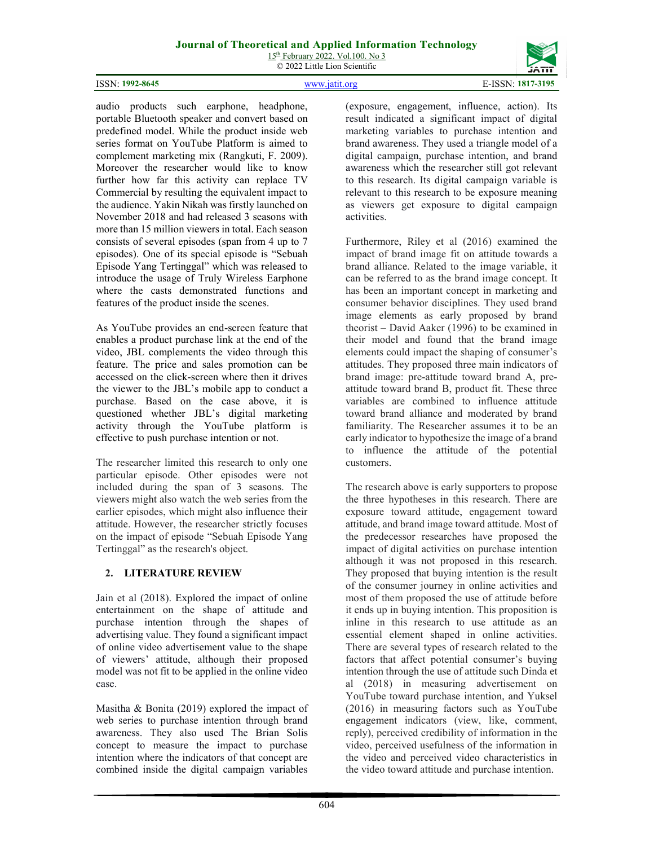#### ISSN: 1992-8645 www.jatit.org E-ISSN: 1817-3195

604

(exposure, engagement, influence, action). Its result indicated a significant impact of digital marketing variables to purchase intention and brand awareness. They used a triangle model of a digital campaign, purchase intention, and brand awareness which the researcher still got relevant to this research. Its digital campaign variable is relevant to this research to be exposure meaning as viewers get exposure to digital campaign activities.

Furthermore, Riley et al (2016) examined the impact of brand image fit on attitude towards a brand alliance. Related to the image variable, it can be referred to as the brand image concept. It has been an important concept in marketing and consumer behavior disciplines. They used brand image elements as early proposed by brand theorist – David Aaker (1996) to be examined in their model and found that the brand image elements could impact the shaping of consumer's attitudes. They proposed three main indicators of brand image: pre-attitude toward brand A, preattitude toward brand B, product fit. These three variables are combined to influence attitude toward brand alliance and moderated by brand familiarity. The Researcher assumes it to be an early indicator to hypothesize the image of a brand to influence the attitude of the potential customers.

The research above is early supporters to propose the three hypotheses in this research. There are exposure toward attitude, engagement toward attitude, and brand image toward attitude. Most of the predecessor researches have proposed the impact of digital activities on purchase intention although it was not proposed in this research. They proposed that buying intention is the result of the consumer journey in online activities and most of them proposed the use of attitude before it ends up in buying intention. This proposition is inline in this research to use attitude as an essential element shaped in online activities. There are several types of research related to the factors that affect potential consumer's buying intention through the use of attitude such Dinda et al (2018) in measuring advertisement on YouTube toward purchase intention, and Yuksel (2016) in measuring factors such as YouTube engagement indicators (view, like, comment, reply), perceived credibility of information in the video, perceived usefulness of the information in the video and perceived video characteristics in the video toward attitude and purchase intention.

audio products such earphone, headphone, portable Bluetooth speaker and convert based on predefined model. While the product inside web series format on YouTube Platform is aimed to complement marketing mix (Rangkuti, F. 2009). Moreover the researcher would like to know further how far this activity can replace TV Commercial by resulting the equivalent impact to the audience. Yakin Nikah was firstly launched on November 2018 and had released 3 seasons with more than 15 million viewers in total. Each season consists of several episodes (span from 4 up to 7 episodes). One of its special episode is "Sebuah Episode Yang Tertinggal" which was released to introduce the usage of Truly Wireless Earphone where the casts demonstrated functions and features of the product inside the scenes.

As YouTube provides an end-screen feature that enables a product purchase link at the end of the video, JBL complements the video through this feature. The price and sales promotion can be accessed on the click-screen where then it drives the viewer to the JBL's mobile app to conduct a purchase. Based on the case above, it is questioned whether JBL's digital marketing activity through the YouTube platform is effective to push purchase intention or not.

The researcher limited this research to only one particular episode. Other episodes were not included during the span of 3 seasons. The viewers might also watch the web series from the earlier episodes, which might also influence their attitude. However, the researcher strictly focuses on the impact of episode "Sebuah Episode Yang Tertinggal" as the research's object.

## 2. LITERATURE REVIEW

Jain et al (2018). Explored the impact of online entertainment on the shape of attitude and purchase intention through the shapes of advertising value. They found a significant impact of online video advertisement value to the shape of viewers' attitude, although their proposed model was not fit to be applied in the online video case.

Masitha & Bonita (2019) explored the impact of web series to purchase intention through brand awareness. They also used The Brian Solis concept to measure the impact to purchase intention where the indicators of that concept are combined inside the digital campaign variables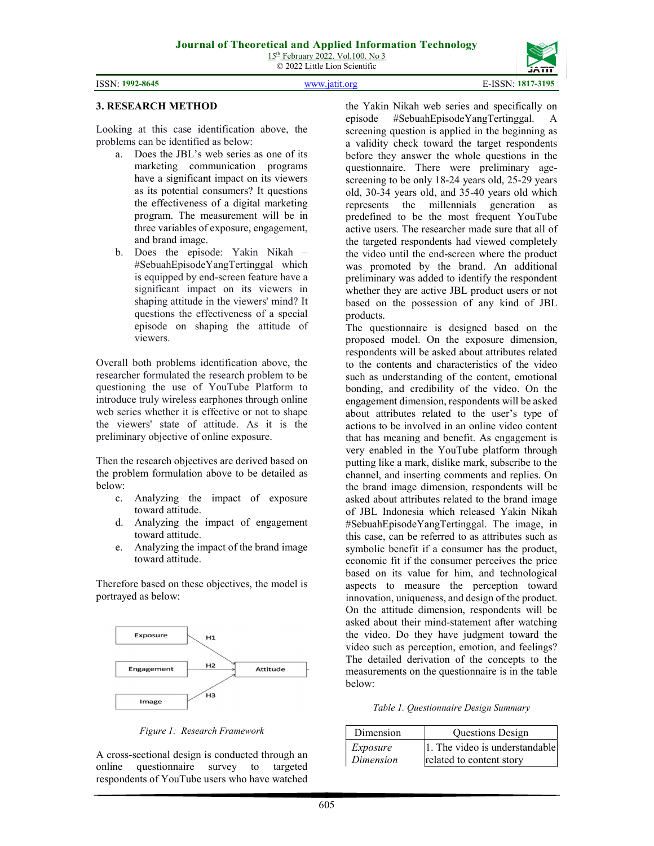© 2022 Little Lion Scientific





### 3. RESEARCH METHOD

Looking at this case identification above, the problems can be identified as below:

- a. Does the JBL's web series as one of its marketing communication programs have a significant impact on its viewers as its potential consumers? It questions the effectiveness of a digital marketing program. The measurement will be in three variables of exposure, engagement, and brand image.
- b. Does the episode: Yakin Nikah #SebuahEpisodeYangTertinggal which is equipped by end-screen feature have a significant impact on its viewers in shaping attitude in the viewers' mind? It questions the effectiveness of a special episode on shaping the attitude of viewers.

Overall both problems identification above, the researcher formulated the research problem to be questioning the use of YouTube Platform to introduce truly wireless earphones through online web series whether it is effective or not to shape the viewers' state of attitude. As it is the preliminary objective of online exposure.

Then the research objectives are derived based on the problem formulation above to be detailed as below:

- c. Analyzing the impact of exposure toward attitude.
- d. Analyzing the impact of engagement toward attitude.
- e. Analyzing the impact of the brand image toward attitude.

Therefore based on these objectives, the model is portrayed as below:



Figure 1: Research Framework

A cross-sectional design is conducted through an online questionnaire survey to targeted respondents of YouTube users who have watched

the Yakin Nikah web series and specifically on episode #SebuahEpisodeYangTertinggal. A screening question is applied in the beginning as a validity check toward the target respondents before they answer the whole questions in the questionnaire. There were preliminary agescreening to be only 18-24 years old, 25-29 years old, 30-34 years old, and 35-40 years old which represents the millennials generation as predefined to be the most frequent YouTube active users. The researcher made sure that all of the targeted respondents had viewed completely the video until the end-screen where the product was promoted by the brand. An additional preliminary was added to identify the respondent whether they are active JBL product users or not based on the possession of any kind of JBL products.

The questionnaire is designed based on the proposed model. On the exposure dimension, respondents will be asked about attributes related to the contents and characteristics of the video such as understanding of the content, emotional bonding, and credibility of the video. On the engagement dimension, respondents will be asked about attributes related to the user's type of actions to be involved in an online video content that has meaning and benefit. As engagement is very enabled in the YouTube platform through putting like a mark, dislike mark, subscribe to the channel, and inserting comments and replies. On the brand image dimension, respondents will be asked about attributes related to the brand image of JBL Indonesia which released Yakin Nikah #SebuahEpisodeYangTertinggal. The image, in this case, can be referred to as attributes such as symbolic benefit if a consumer has the product, economic fit if the consumer perceives the price based on its value for him, and technological aspects to measure the perception toward innovation, uniqueness, and design of the product. On the attitude dimension, respondents will be asked about their mind-statement after watching the video. Do they have judgment toward the video such as perception, emotion, and feelings? The detailed derivation of the concepts to the measurements on the questionnaire is in the table below:

Table 1. Questionnaire Design Summary

| Dimension | <b>Questions Design</b>        |
|-----------|--------------------------------|
| Exposure  | 1. The video is understandable |
| Dimension | related to content story       |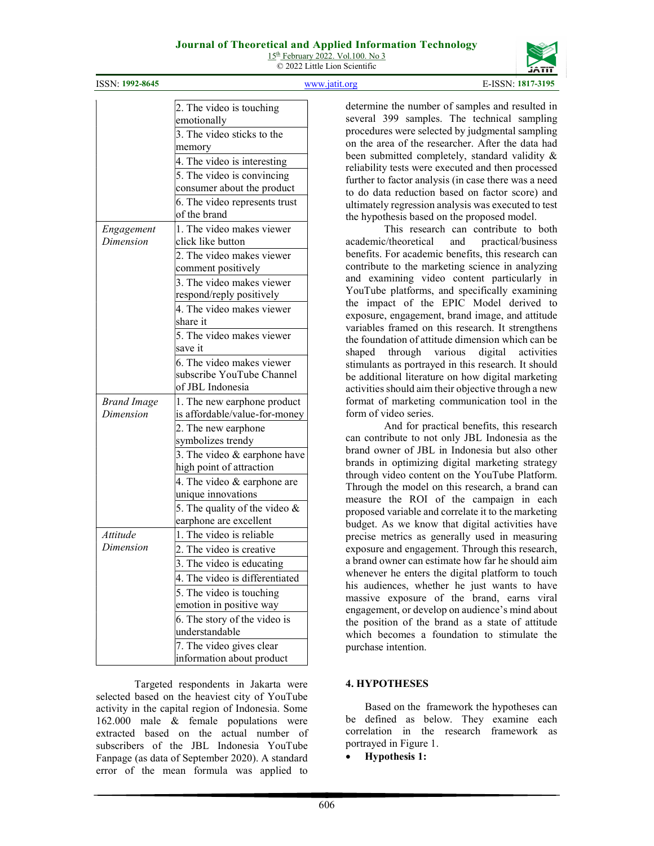## Journal of Theoretical and Applied Information Technology

 $15<sup>th</sup>$  February 2022. Vol.100. No 3 © 2022 Little Lion Scientific

ISSN: 1992-8645 www.jatit.org E-ISSN: 1817-3195

|                    | 2. The video is touching         |  |  |  |
|--------------------|----------------------------------|--|--|--|
|                    | emotionally                      |  |  |  |
|                    | 3. The video sticks to the       |  |  |  |
|                    | memory                           |  |  |  |
|                    | 4. The video is interesting      |  |  |  |
|                    | 5. The video is convincing       |  |  |  |
|                    | consumer about the product       |  |  |  |
|                    | 6. The video represents trust    |  |  |  |
|                    | of the brand                     |  |  |  |
| Engagement         | 1. The video makes viewer        |  |  |  |
| Dimension          | click like button                |  |  |  |
|                    | 2. The video makes viewer        |  |  |  |
|                    | comment positively               |  |  |  |
|                    | 3. The video makes viewer        |  |  |  |
|                    | respond/reply positively         |  |  |  |
|                    | 4. The video makes viewer        |  |  |  |
|                    | share it                         |  |  |  |
|                    | 5. The video makes viewer        |  |  |  |
|                    | save it                          |  |  |  |
|                    | 6. The video makes viewer        |  |  |  |
|                    | subscribe YouTube Channel        |  |  |  |
|                    | of JBL Indonesia                 |  |  |  |
| <b>Brand Image</b> | 1. The new earphone product      |  |  |  |
| Dimension          | is affordable/value-for-money    |  |  |  |
|                    | 2. The new earphone              |  |  |  |
|                    | symbolizes trendy                |  |  |  |
|                    | 3. The video & earphone have     |  |  |  |
|                    | high point of attraction         |  |  |  |
|                    | 4. The video & earphone are      |  |  |  |
|                    | unique innovations               |  |  |  |
|                    | 5. The quality of the video $\&$ |  |  |  |
|                    | earphone are excellent           |  |  |  |
| Attitude           | 1. The video is reliable         |  |  |  |
| Dimension          | 2. The video is creative         |  |  |  |
|                    | 3. The video is educating        |  |  |  |
|                    | The video is differentiated      |  |  |  |
|                    | 5. The video is touching         |  |  |  |
|                    | emotion in positive way          |  |  |  |
|                    | 6. The story of the video is     |  |  |  |
|                    | understandable                   |  |  |  |
|                    | 7. The video gives clear         |  |  |  |
|                    | information about product        |  |  |  |

Targeted respondents in Jakarta were selected based on the heaviest city of YouTube activity in the capital region of Indonesia. Some 162.000 male & female populations were extracted based on the actual number of subscribers of the JBL Indonesia YouTube Fanpage (as data of September 2020). A standard error of the mean formula was applied to

determine the number of samples and resulted in several 399 samples. The technical sampling procedures were selected by judgmental sampling on the area of the researcher. After the data had been submitted completely, standard validity & reliability tests were executed and then processed further to factor analysis (in case there was a need to do data reduction based on factor score) and ultimately regression analysis was executed to test the hypothesis based on the proposed model.

This research can contribute to both academic/theoretical and practical/business benefits. For academic benefits, this research can contribute to the marketing science in analyzing and examining video content particularly in YouTube platforms, and specifically examining the impact of the EPIC Model derived to exposure, engagement, brand image, and attitude variables framed on this research. It strengthens the foundation of attitude dimension which can be shaped through various digital activities stimulants as portrayed in this research. It should be additional literature on how digital marketing activities should aim their objective through a new format of marketing communication tool in the form of video series.

And for practical benefits, this research can contribute to not only JBL Indonesia as the brand owner of JBL in Indonesia but also other brands in optimizing digital marketing strategy through video content on the YouTube Platform. Through the model on this research, a brand can measure the ROI of the campaign in each proposed variable and correlate it to the marketing budget. As we know that digital activities have precise metrics as generally used in measuring exposure and engagement. Through this research, a brand owner can estimate how far he should aim whenever he enters the digital platform to touch his audiences, whether he just wants to have massive exposure of the brand, earns viral engagement, or develop on audience's mind about the position of the brand as a state of attitude which becomes a foundation to stimulate the purchase intention.

## 4. HYPOTHESES

Based on the framework the hypotheses can be defined as below. They examine each correlation in the research framework as portrayed in Figure 1.

Hypothesis 1: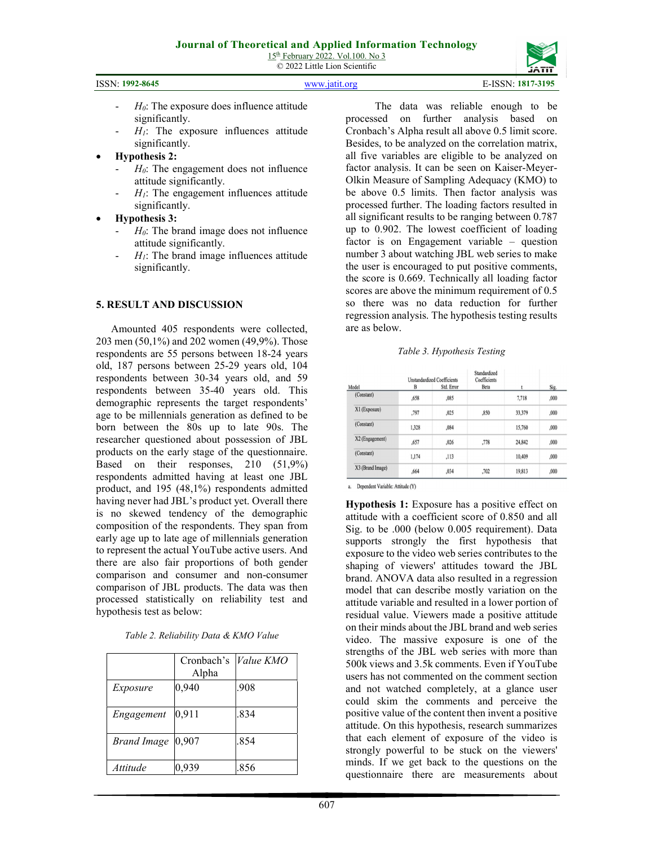|  | <b>ISSN: 1992-8645</b> |
|--|------------------------|
|--|------------------------|

www.jatit.org E-ISSN: 1817-3195



- $H<sub>0</sub>$ : The exposure does influence attitude significantly.
- $H<sub>1</sub>$ : The exposure influences attitude significantly.
- Hypothesis 2:
	- $H<sub>0</sub>$ : The engagement does not influence attitude significantly.
	- $H<sub>1</sub>$ : The engagement influences attitude significantly.
- Hypothesis 3:
	- $H_0$ : The brand image does not influence attitude significantly.
	- $-H_1$ : The brand image influences attitude significantly.

#### 5. RESULT AND DISCUSSION

 Amounted 405 respondents were collected, 203 men (50,1%) and 202 women (49,9%). Those respondents are 55 persons between 18-24 years old, 187 persons between 25-29 years old, 104 respondents between 30-34 years old, and 59 respondents between 35-40 years old. This demographic represents the target respondents' age to be millennials generation as defined to be born between the 80s up to late 90s. The researcher questioned about possession of JBL products on the early stage of the questionnaire. Based on their responses, 210 (51,9%) respondents admitted having at least one JBL product, and 195 (48,1%) respondents admitted having never had JBL's product yet. Overall there is no skewed tendency of the demographic composition of the respondents. They span from early age up to late age of millennials generation to represent the actual YouTube active users. And there are also fair proportions of both gender comparison and consumer and non-consumer comparison of JBL products. The data was then processed statistically on reliability test and hypothesis test as below:

| Table 2. Reliability Data & KMO Value |  |  |
|---------------------------------------|--|--|
|                                       |  |  |

|                      | Cronbach's<br>Alpha | <i>Value KMO</i> |
|----------------------|---------------------|------------------|
| Exposure             | 0,940               | .908             |
| Engagement           | 0,911               | .834             |
| Brand Image $ 0,907$ |                     | .854             |
| Attitude             | 0,939               | .856             |

The data was reliable enough to be processed on further analysis based on Cronbach's Alpha result all above 0.5 limit score. Besides, to be analyzed on the correlation matrix, all five variables are eligible to be analyzed on factor analysis. It can be seen on Kaiser-Meyer-Olkin Measure of Sampling Adequacy (KMO) to be above 0.5 limits. Then factor analysis was processed further. The loading factors resulted in all significant results to be ranging between 0.787 up to 0.902. The lowest coefficient of loading factor is on Engagement variable – question number 3 about watching JBL web series to make the user is encouraged to put positive comments, the score is 0.669. Technically all loading factor scores are above the minimum requirement of 0.5 so there was no data reduction for further regression analysis. The hypothesis testing results are as below.

#### Table 3. Hypothesis Testing

|                  | <b>Unstandardized Coefficients</b> |            | Standardized<br>Coefficients |        |      |
|------------------|------------------------------------|------------|------------------------------|--------|------|
| Model            | B                                  | Std. Error | Beta                         |        | Sig. |
| (Constant)       | ,658                               | ,085       |                              | 7,718  | ,000 |
| X1 (Exposure)    | ,797                               | .025       | ,850                         | 33,379 | ,000 |
| (Constant)       | 1.328                              | .084       |                              | 15,760 | ,000 |
| X2 (Engagement)  | .657                               | ,026       | ,778                         | 24,842 | ,000 |
| (Constant)       | 1.174                              | ,113       |                              | 10,409 | ,000 |
| X3 (Brand Image) | .664                               | .034       | .702                         | 19,813 | ,000 |

a. Dependent Variable: Attitude (Y)

Hypothesis 1: Exposure has a positive effect on attitude with a coefficient score of 0.850 and all Sig. to be .000 (below 0.005 requirement). Data supports strongly the first hypothesis that exposure to the video web series contributes to the shaping of viewers' attitudes toward the JBL brand. ANOVA data also resulted in a regression model that can describe mostly variation on the attitude variable and resulted in a lower portion of residual value. Viewers made a positive attitude on their minds about the JBL brand and web series video. The massive exposure is one of the strengths of the JBL web series with more than 500k views and 3.5k comments. Even if YouTube users has not commented on the comment section and not watched completely, at a glance user could skim the comments and perceive the positive value of the content then invent a positive attitude. On this hypothesis, research summarizes that each element of exposure of the video is strongly powerful to be stuck on the viewers' minds. If we get back to the questions on the questionnaire there are measurements about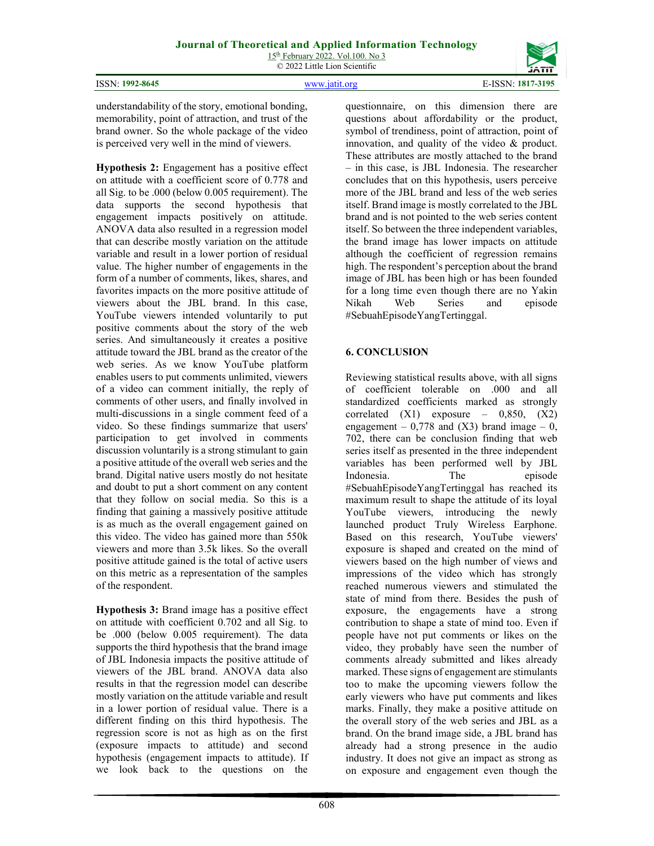ISSN: 1992-8645 www.jatit.org E-ISSN: 1817-3195



understandability of the story, emotional bonding, memorability, point of attraction, and trust of the brand owner. So the whole package of the video is perceived very well in the mind of viewers.

Hypothesis 2: Engagement has a positive effect on attitude with a coefficient score of 0.778 and all Sig. to be .000 (below 0.005 requirement). The data supports the second hypothesis that engagement impacts positively on attitude. ANOVA data also resulted in a regression model that can describe mostly variation on the attitude variable and result in a lower portion of residual value. The higher number of engagements in the form of a number of comments, likes, shares, and favorites impacts on the more positive attitude of viewers about the JBL brand. In this case, YouTube viewers intended voluntarily to put positive comments about the story of the web series. And simultaneously it creates a positive attitude toward the JBL brand as the creator of the web series. As we know YouTube platform enables users to put comments unlimited, viewers of a video can comment initially, the reply of comments of other users, and finally involved in multi-discussions in a single comment feed of a video. So these findings summarize that users' participation to get involved in comments discussion voluntarily is a strong stimulant to gain a positive attitude of the overall web series and the brand. Digital native users mostly do not hesitate and doubt to put a short comment on any content that they follow on social media. So this is a finding that gaining a massively positive attitude is as much as the overall engagement gained on this video. The video has gained more than 550k viewers and more than 3.5k likes. So the overall positive attitude gained is the total of active users on this metric as a representation of the samples of the respondent.

Hypothesis 3: Brand image has a positive effect on attitude with coefficient 0.702 and all Sig. to be .000 (below 0.005 requirement). The data supports the third hypothesis that the brand image of JBL Indonesia impacts the positive attitude of viewers of the JBL brand. ANOVA data also results in that the regression model can describe mostly variation on the attitude variable and result in a lower portion of residual value. There is a different finding on this third hypothesis. The regression score is not as high as on the first (exposure impacts to attitude) and second hypothesis (engagement impacts to attitude). If we look back to the questions on the

questionnaire, on this dimension there are questions about affordability or the product, symbol of trendiness, point of attraction, point of innovation, and quality of the video & product. These attributes are mostly attached to the brand – in this case, is JBL Indonesia. The researcher concludes that on this hypothesis, users perceive more of the JBL brand and less of the web series itself. Brand image is mostly correlated to the JBL brand and is not pointed to the web series content itself. So between the three independent variables, the brand image has lower impacts on attitude although the coefficient of regression remains high. The respondent's perception about the brand image of JBL has been high or has been founded for a long time even though there are no Yakin Nikah Web Series and episode #SebuahEpisodeYangTertinggal.

## 6. CONCLUSION

Reviewing statistical results above, with all signs of coefficient tolerable on .000 and all standardized coefficients marked as strongly correlated  $(X1)$  exposure –  $0.850$ ,  $(X2)$ engagement – 0,778 and (X3) brand image – 0, 702, there can be conclusion finding that web series itself as presented in the three independent variables has been performed well by JBL Indonesia. The episode #SebuahEpisodeYangTertinggal has reached its maximum result to shape the attitude of its loyal YouTube viewers, introducing the newly launched product Truly Wireless Earphone. Based on this research, YouTube viewers' exposure is shaped and created on the mind of viewers based on the high number of views and impressions of the video which has strongly reached numerous viewers and stimulated the state of mind from there. Besides the push of exposure, the engagements have a strong contribution to shape a state of mind too. Even if people have not put comments or likes on the video, they probably have seen the number of comments already submitted and likes already marked. These signs of engagement are stimulants too to make the upcoming viewers follow the early viewers who have put comments and likes marks. Finally, they make a positive attitude on the overall story of the web series and JBL as a brand. On the brand image side, a JBL brand has already had a strong presence in the audio industry. It does not give an impact as strong as on exposure and engagement even though the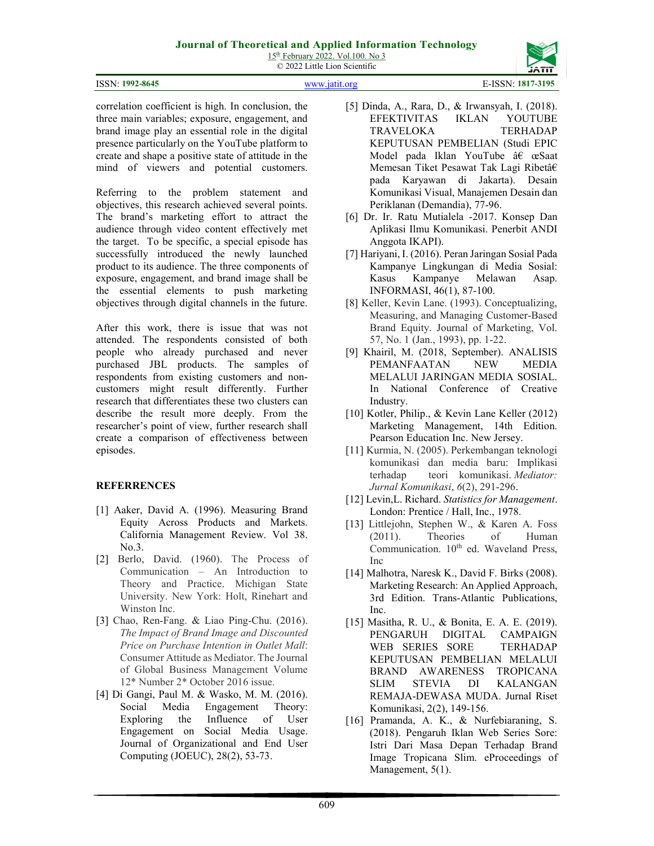## Journal of Theoretical and Applied Information Technology

 $15<sup>th</sup>$  February 2022. Vol.100. No 3 © 2022 Little Lion Scientific

| ISSN: 1992-8645 | WWW 1911 org |  |
|-----------------|--------------|--|



ISSN: 1817-3195

correlation coefficient is high. In conclusion, the three main variables; exposure, engagement, and brand image play an essential role in the digital presence particularly on the YouTube platform to create and shape a positive state of attitude in the mind of viewers and potential customers.

Referring to the problem statement and objectives, this research achieved several points. The brand's marketing effort to attract the audience through video content effectively met the target. To be specific, a special episode has successfully introduced the newly launched product to its audience. The three components of exposure, engagement, and brand image shall be the essential elements to push marketing objectives through digital channels in the future.

After this work, there is issue that was not attended. The respondents consisted of both people who already purchased and never purchased JBL products. The samples of respondents from existing customers and noncustomers might result differently. Further research that differentiates these two clusters can describe the result more deeply. From the researcher's point of view, further research shall create a comparison of effectiveness between episodes.

## REFERRENCES

- [1] Aaker, David A. (1996). Measuring Brand Equity Across Products and Markets. California Management Review. Vol 38. No.3.
- [2] Berlo, David. (1960). The Process of Communication – An Introduction to Theory and Practice. Michigan State University. New York: Holt, Rinehart and Winston Inc.
- [3] Chao, Ren-Fang. & Liao Ping-Chu. (2016). The Impact of Brand Image and Discounted Price on Purchase Intention in Outlet Mall: Consumer Attitude as Mediator. The Journal of Global Business Management Volume 12\* Number 2\* October 2016 issue.
- [4] Di Gangi, Paul M. & Wasko, M. M. (2016). Social Media Engagement Theory: Exploring the Influence of User Engagement on Social Media Usage. Journal of Organizational and End User Computing (JOEUC), 28(2), 53-73.
- [5] Dinda, A., Rara, D., & Irwansyah, I. (2018). EFEKTIVITAS IKLAN YOUTUBE TRAVELOKA TERHADAP KEPUTUSAN PEMBELIAN (Studi EPIC Model pada Iklan YouTube â $\epsilon$  œSaat Memesan Tiket Pesawat Tak Lagi Ribetâ€ pada Karyawan di Jakarta). Desain Komunikasi Visual, Manajemen Desain dan Periklanan (Demandia), 77-96.
- [6] Dr. Ir. Ratu Mutialela -2017. Konsep Dan Aplikasi Ilmu Komunikasi. Penerbit ANDI Anggota IKAPI).
- [7] Hariyani, I. (2016). Peran Jaringan Sosial Pada Kampanye Lingkungan di Media Sosial: Kasus Kampanye Melawan Asap. INFORMASI, 46(1), 87-100.
- [8] Keller, Kevin Lane. (1993). Conceptualizing, Measuring, and Managing Customer-Based Brand Equity. Journal of Marketing, Vol. 57, No. 1 (Jan., 1993), pp. 1-22.
- [9] Khairil, M. (2018, September). ANALISIS PEMANFAATAN NEW MEDIA MELALUI JARINGAN MEDIA SOSIAL. In National Conference of Creative Industry.
- [10] Kotler, Philip., & Kevin Lane Keller (2012) Marketing Management, 14th Edition. Pearson Education Inc. New Jersey.
- [11] Kurmia, N. (2005). Perkembangan teknologi komunikasi dan media baru: Implikasi terhadap teori komunikasi. Mediator: Jurnal Komunikasi, 6(2), 291-296.
- [12] Levin, L. Richard. Statistics for Management. London: Prentice / Hall, Inc., 1978.
- [13] Littlejohn, Stephen W., & Karen A. Foss (2011). Theories of Human Communication.  $10^{th}$  ed. Waveland Press, Inc
- [14] Malhotra, Naresk K., David F. Birks (2008). Marketing Research: An Applied Approach, 3rd Edition. Trans-Atlantic Publications, Inc.
- [15] Masitha, R. U., & Bonita, E. A. E. (2019). PENGARUH DIGITAL CAMPAIGN WEB SERIES SORE TERHADAP KEPUTUSAN PEMBELIAN MELALUI BRAND AWARENESS TROPICANA SLIM STEVIA DI KALANGAN REMAJA-DEWASA MUDA. Jurnal Riset Komunikasi, 2(2), 149-156.
- [16] Pramanda, A. K., & Nurfebiaraning, S. (2018). Pengaruh Iklan Web Series Sore: Istri Dari Masa Depan Terhadap Brand Image Tropicana Slim. eProceedings of Management, 5(1).